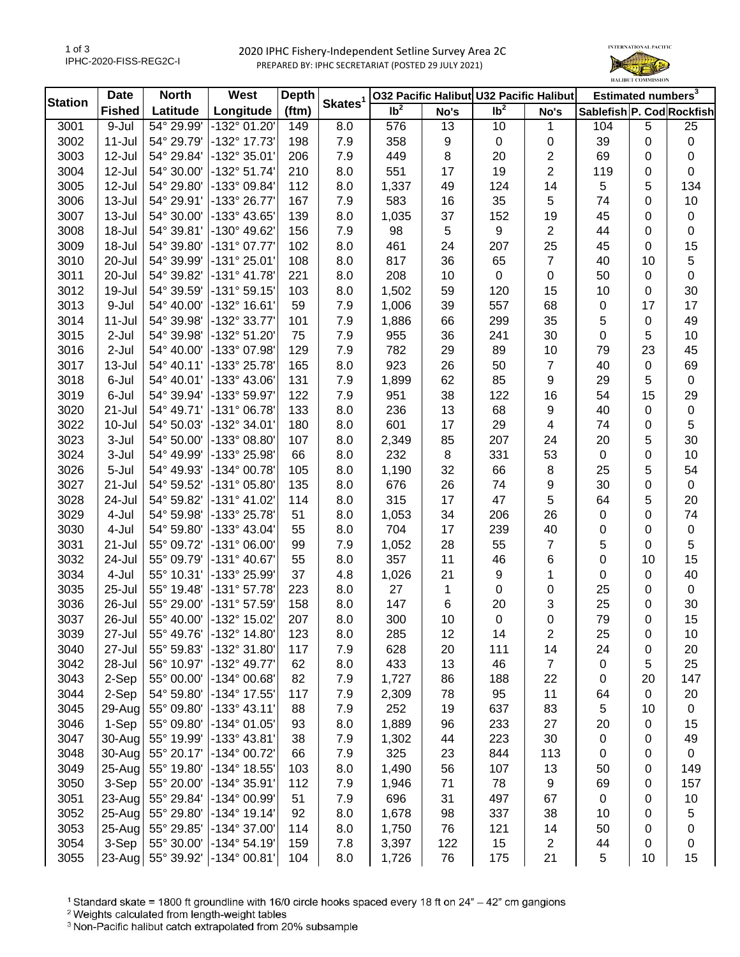## 2020 IPHC Fishery-Independent Setline Survey Area 2C PREPARED BY: IPHC SECRETARIAT (POSTED 29 JULY 2021)



| <b>Station</b> | <b>Date</b>   | <b>North</b> | West                  | <b>Depth</b> | Skates <sup>1</sup> |                            |             | 032 Pacific Halibut U32 Pacific Halibut |                | Estimated numbers <sup>3</sup> |             |             |
|----------------|---------------|--------------|-----------------------|--------------|---------------------|----------------------------|-------------|-----------------------------------------|----------------|--------------------------------|-------------|-------------|
|                | <b>Fished</b> | Latitude     | Longitude             | (ftm)        |                     | $\overline{\mathsf{lb}^2}$ | No's        | $\overline{\mathsf{lb}^2}$              | No's           | Sablefish P. Cod Rockfish      |             |             |
| 3001           | 9-Jul         | 54° 29.99'   | -132° 01.20'          | 149          | 8.0                 | 576                        | 13          | 10                                      | 1              | 104                            | 5           | 25          |
| 3002           | $11 -$ Jul    | 54° 29.79'   | -132° 17.73'          | 198          | 7.9                 | 358                        | 9           | $\mathbf 0$                             | 0              | 39                             | 0           | $\pmb{0}$   |
| 3003           | 12-Jul        | 54° 29.84'   | -132° 35.01'          | 206          | 7.9                 | 449                        | 8           | 20                                      | 2              | 69                             | 0           | 0           |
| 3004           | 12-Jul        | 54° 30.00'   | -132° 51.74'          | 210          | 8.0                 | 551                        | 17          | 19                                      | 2              | 119                            | 0           | 0           |
| 3005           | 12-Jul        | 54° 29.80'   | -133° 09.84'          | 112          | 8.0                 | 1,337                      | 49          | 124                                     | 14             | 5                              | 5           | 134         |
| 3006           | $13 -$ Jul    | 54° 29.91'   | -133° 26.77'          | 167          | 7.9                 | 583                        | 16          | 35                                      | 5              | 74                             | 0           | 10          |
| 3007           | 13-Jul        | 54° 30.00'   | -133° 43.65'          | 139          | 8.0                 | 1,035                      | 37          | 152                                     | 19             | 45                             | 0           | $\pmb{0}$   |
| 3008           | 18-Jul        | 54° 39.81'   | -130° 49.62'          | 156          | 7.9                 | 98                         | $\,$ 5 $\,$ | $\boldsymbol{9}$                        | $\sqrt{2}$     | 44                             | 0           | $\pmb{0}$   |
| 3009           | 18-Jul        | 54° 39.80'   | $-131°07.77'$         | 102          | 8.0                 | 461                        | 24          | 207                                     | 25             | 45                             | 0           | 15          |
| 3010           | 20-Jul        | 54° 39.99'   | -131° 25.01'          | 108          | 8.0                 | 817                        | 36          | 65                                      | $\overline{7}$ | 40                             | 10          | 5           |
| 3011           | 20-Jul        | 54° 39.82'   | $-131° 41.78'$        | 221          | 8.0                 | 208                        | 10          | $\pmb{0}$                               | 0              | 50                             | $\mathbf 0$ | $\pmb{0}$   |
| 3012           | 19-Jul        | 54° 39.59'   | $-131°59.15'$         | 103          | 8.0                 | 1,502                      | 59          | 120                                     | 15             | 10                             | 0           | 30          |
| 3013           | 9-Jul         | 54° 40.00'   | -132° 16.61'          | 59           | 7.9                 | 1,006                      | 39          | 557                                     | 68             | 0                              | 17          | 17          |
| 3014           | $11 -$ Jul    | 54° 39.98'   | -132° 33.77'          | 101          | 7.9                 | 1,886                      | 66          | 299                                     | 35             | 5                              | 0           | 49          |
| 3015           | 2-Jul         | 54° 39.98'   | -132° 51.20'          | 75           | 7.9                 | 955                        | 36          | 241                                     | 30             | 0                              | 5           | 10          |
| 3016           | 2-Jul         | 54° 40.00'   | -133° 07.98'          | 129          | 7.9                 | 782                        | 29          | 89                                      | 10             | 79                             | 23          | 45          |
| 3017           | $13 -$ Jul    | 54° 40.11'   | -133° 25.78'          | 165          | 8.0                 | 923                        | 26          | 50                                      | $\overline{7}$ | 40                             | $\mathbf 0$ | 69          |
| 3018           | 6-Jul         | 54° 40.01'   | -133° 43.06'          | 131          | 7.9                 | 1,899                      | 62          | 85                                      | 9              | 29                             | 5           | $\mathbf 0$ |
| 3019           | 6-Jul         | 54° 39.94'   | -133° 59.97'          | 122          | 7.9                 | 951                        | 38          | 122                                     | 16             | 54                             | 15          | 29          |
| 3020           | 21-Jul        | 54° 49.71'   | $-131°06.78'$         | 133          | 8.0                 | 236                        | 13          | 68                                      | 9              | 40                             | 0           | $\pmb{0}$   |
| 3022           | 10-Jul        | 54° 50.03'   | -132° 34.01'          | 180          | 8.0                 | 601                        | 17          | 29                                      | 4              | 74                             | 0           | 5           |
| 3023           | 3-Jul         | 54° 50.00'   | -133° 08.80'          | 107          | 8.0                 | 2,349                      | 85          | 207                                     | 24             | 20                             | 5           | 30          |
| 3024           | 3-Jul         | 54° 49.99'   | -133° 25.98'          | 66           | 8.0                 | 232                        | 8           | 331                                     | 53             | 0                              | 0           | 10          |
| 3026           | 5-Jul         | 54° 49.93'   | -134° 00.78'          | 105          | 8.0                 | 1,190                      | 32          | 66                                      | 8              | 25                             | 5           | 54          |
| 3027           | 21-Jul        | 54° 59.52'   | -131° 05.80'          | 135          | 8.0                 | 676                        | 26          | 74                                      | 9              | 30                             | 0           | $\mathbf 0$ |
| 3028           | 24-Jul        | 54° 59.82'   | -131° 41.02'          | 114          | 8.0                 | 315                        | 17          | 47                                      | 5              | 64                             | 5           | 20          |
| 3029           | 4-Jul         | 54° 59.98'   | -133° 25.78'          | 51           | 8.0                 | 1,053                      | 34          | 206                                     | 26             | 0                              | 0           | 74          |
| 3030           | 4-Jul         | 54° 59.80'   | -133° 43.04'          | 55           | 8.0                 | 704                        | 17          | 239                                     | 40             | 0                              | 0           | $\pmb{0}$   |
| 3031           | 21-Jul        | 55° 09.72'   | $-131°06.00'$         | 99           | 7.9                 | 1,052                      | 28          | 55                                      | 7              | 5                              | 0           | 5           |
| 3032           | 24-Jul        | 55° 09.79'   | -131° 40.67'          | 55           | 8.0                 | 357                        | 11          | 46                                      | 6              | 0                              | 10          | 15          |
| 3034           | 4-Jul         | 55° 10.31'   | -133° 25.99'          | 37           | 4.8                 | 1,026                      | 21          | 9                                       | 1              | 0                              | 0           | 40          |
| 3035           | 25-Jul        | 55° 19.48'   | $-131°57.78'$         | 223          | 8.0                 | 27                         | $\mathbf 1$ | $\mathbf 0$                             | 0              | 25                             | 0           | 0           |
| 3036           | 26-Jul        | 55° 29.00'   | -131° 57.59'          | 158          | 8.0                 | 147                        | 6           | 20                                      | 3              | 25                             | 0           | 30          |
| 3037           | 26-Jul        | 55° 40.00'   | -132° 15.02'          | 207          | 8.0                 | 300                        | 10          | $\pmb{0}$                               | 0              | 79                             | 0           | 15          |
| 3039           | 27-Jul        | 55° 49.76'   | $-132^{\circ}$ 14.80  | 123          | 8.0                 | 285                        | 12          | 14                                      | 2              | 25                             | 0           | 10          |
| 3040           | 27-Jul        | 55° 59.83'   | -132° 31.80'          | 117          | 7.9                 | 628                        | 20          | 111                                     | 14             | 24                             | 0           | 20          |
| 3042           | 28-Jul        | 56° 10.97'   | -132° 49.77'          | 62           | 8.0                 | 433                        | 13          | 46                                      | 7              | 0                              | 5           | 25          |
| 3043           | 2-Sep         | 55° 00.00'   | -134° 00.68'          | 82           | 7.9                 | 1,727                      | 86          | 188                                     | 22             | 0                              | 20          | 147         |
| 3044           | 2-Sep         | 54° 59.80'   | -134° 17.55'          | 117          | 7.9                 | 2,309                      | 78          | 95                                      | 11             | 64                             | 0           | 20          |
| 3045           | 29-Aug        | 55° 09.80'   | $-133^{\circ}$ 43.11' | 88           | 7.9                 | 252                        | 19          | 637                                     | 83             | 5                              | 10          | 0           |
| 3046           | 1-Sep         | 55° 09.80'   | -134° 01.05'          | 93           | 8.0                 | 1,889                      | 96          | 233                                     | 27             | 20                             | 0           | 15          |
| 3047           | 30-Aug        | 55° 19.99'   | -133° 43.81'          | 38           | 7.9                 | 1,302                      | 44          | 223                                     | 30             | 0                              | 0           | 49          |
| 3048           | 30-Aug        | 55° 20.17'   | -134° 00.72'          | 66           | 7.9                 | 325                        | 23          | 844                                     | 113            | 0                              | 0           | $\mathbf 0$ |
| 3049           | 25-Aug        | 55° 19.80'   | -134° 18.55'          | 103          | 8.0                 | 1,490                      | 56          | 107                                     | 13             | 50                             | 0           | 149         |
| 3050           | 3-Sep         | 55° 20.00'   | -134° 35.91'          | 112          | 7.9                 | 1,946                      | 71          | 78                                      | 9              | 69                             | 0           | 157         |
| 3051           | 23-Aug        | 55° 29.84'   | -134° 00.99'          | 51           | 7.9                 | 696                        | 31          | 497                                     | 67             | $\pmb{0}$                      | 0           | 10          |
| 3052           | 25-Aug        | 55° 29.80'   | $-134^{\circ}$ 19.14' | 92           | 8.0                 | 1,678                      | 98          | 337                                     | 38             | 10                             | 0           | 5           |
| 3053           | 25-Aug        | 55° 29.85'   | -134° 37.00'          | 114          | 8.0                 | 1,750                      | 76          | 121                                     | 14             | 50                             | 0           | 0           |
| 3054           | 3-Sep         | 55° 30.00'   | $-134^{\circ} 54.19'$ | 159          | 7.8                 | 3,397                      | 122         | 15                                      | 2              | 44                             | 0           | 0           |
| 3055           | $23$ -Aug     | 55° 39.92'   | -134° 00.81'          | 104          | 8.0                 | 1,726                      | 76          | 175                                     | 21             | 5                              | 10          | 15          |
|                |               |              |                       |              |                     |                            |             |                                         |                |                                |             |             |

<sup>1</sup> Standard skate = 1800 ft groundline with 16/0 circle hooks spaced every 18 ft on 24" - 42" cm gangions

<sup>2</sup> Weights calculated from length-weight tables

<sup>3</sup> Non-Pacific halibut catch extrapolated from 20% subsample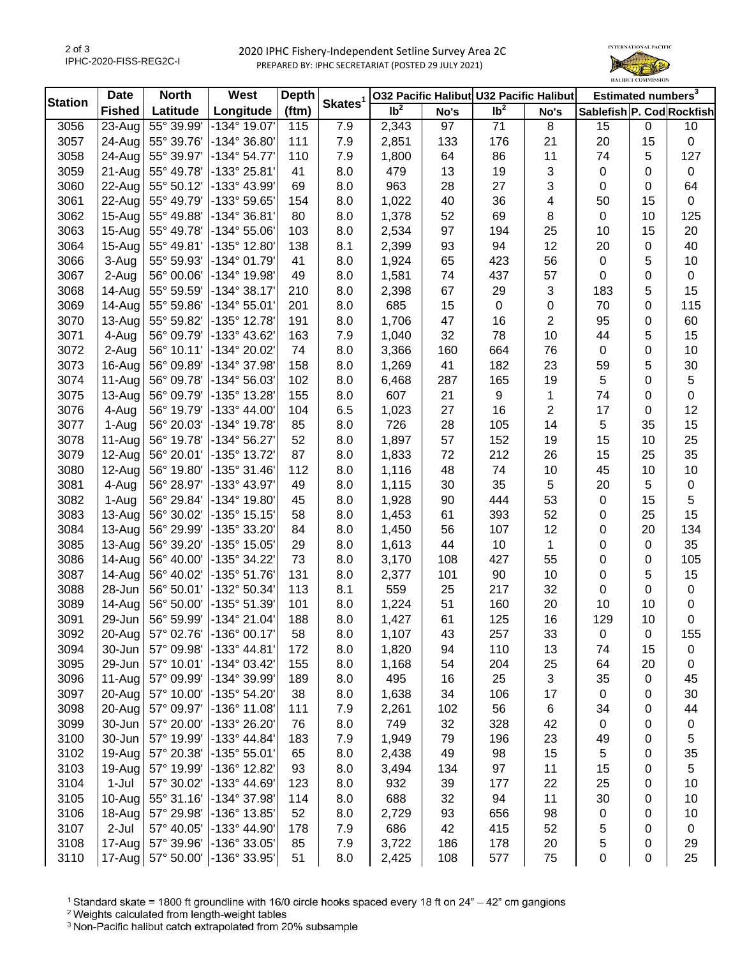## 2020 IPHC Fishery-Independent Setline Survey Area 2C PREPARED BY: IPHC SECRETARIAT (POSTED 29 JULY 2021)



| <b>Station</b> | <b>Date</b>          | <b>North</b> | West                  | <b>Depth</b> |                     |                   |      | 032 Pacific Halibut U32 Pacific Halibut |                | Estimated numbers <sup>3</sup> |    |           |
|----------------|----------------------|--------------|-----------------------|--------------|---------------------|-------------------|------|-----------------------------------------|----------------|--------------------------------|----|-----------|
|                | <b>Fished</b>        | Latitude     | Longitude             | (ftm)        | Skates <sup>1</sup> | $\overline{1}b^2$ | No's | $\overline{\mathsf{lb}^2}$              | No's           | Sablefish P. Cod Rockfish      |    |           |
| 3056           | $\overline{2}$ 3-Aug | 55° 39.99    | -134° 19.07'          | 115          | 7.9                 | 2,343             | 97   | 71                                      | 8              | 15                             | 0  | 10        |
| 3057           | 24-Aug               | 55° 39.76'   | -134° 36.80'          | 111          | 7.9                 | 2,851             | 133  | 176                                     | 21             | 20                             | 15 | 0         |
| 3058           | 24-Aug               | 55° 39.97'   | $-134^{\circ} 54.77'$ | 110          | 7.9                 | 1,800             | 64   | 86                                      | 11             | 74                             | 5  | 127       |
| 3059           | 21-Aug               | 55° 49.78'   | -133° 25.81'          | 41           | 8.0                 | 479               | 13   | 19                                      | 3              | 0                              | 0  | 0         |
| 3060           | $22$ -Aug            | 55° 50.12'   | -133° 43.99'          | 69           | 8.0                 | 963               | 28   | 27                                      | 3              | 0                              | 0  | 64        |
| 3061           | $22$ -Aug            | 55° 49.79'   | -133° 59.65'          | 154          | 8.0                 | 1,022             | 40   | 36                                      | 4              | 50                             | 15 | 0         |
| 3062           | $15-Aug$             | 55° 49.88'   | -134° 36.81'          | 80           | 8.0                 | 1,378             | 52   | 69                                      | 8              | 0                              | 10 | 125       |
| 3063           | 15-Aug               | 55° 49.78'   | $-134^{\circ} 55.06'$ | 103          | 8.0                 | 2,534             | 97   | 194                                     | 25             | 10                             | 15 | 20        |
| 3064           | $15-Aug$             | 55° 49.81'   | -135° 12.80'          | 138          | 8.1                 | 2,399             | 93   | 94                                      | 12             | 20                             | 0  | 40        |
| 3066           | 3-Aug                | 55° 59.93'   | -134° 01.79'          | 41           | 8.0                 | 1,924             | 65   | 423                                     | 56             | $\mathbf 0$                    | 5  | 10        |
| 3067           | 2-Aug                | 56° 00.06'   | -134° 19.98'          | 49           | 8.0                 | 1,581             | 74   | 437                                     | 57             | 0                              | 0  | 0         |
| 3068           | 14-Aug               | 55° 59.59'   | $-134^{\circ}38.17'$  | 210          | 8.0                 | 2,398             | 67   | 29                                      | 3              | 183                            | 5  | 15        |
| 3069           | 14-Aug               | 55° 59.86'   | -134° 55.01'          | 201          | 8.0                 | 685               | 15   | $\pmb{0}$                               | 0              | 70                             | 0  | 115       |
| 3070           | $13 - Aug$           | 55° 59.82'   | -135° 12.78'          | 191          | 8.0                 | 1,706             | 47   | 16                                      | 2              | 95                             | 0  | 60        |
| 3071           | 4-Aug                | 56° 09.79'   | -133° 43.62'          | 163          | 7.9                 | 1,040             | 32   | 78                                      | 10             | 44                             | 5  | 15        |
| 3072           | 2-Aug                | 56° 10.11'   | -134° 20.02'          | 74           | 8.0                 | 3,366             | 160  | 664                                     | 76             | 0                              | 0  | 10        |
| 3073           | 16-Aug               | 56° 09.89'   | -134° 37.98'          | 158          | 8.0                 | 1,269             | 41   | 182                                     | 23             | 59                             | 5  | 30        |
| 3074           | 11-Aug               | 56° 09.78'   | -134° 56.03'          | 102          | 8.0                 | 6,468             | 287  | 165                                     | 19             | 5                              | 0  | 5         |
| 3075           | $13-Aug$             | 56° 09.79'   | -135° 13.28'          | 155          | 8.0                 | 607               | 21   | 9                                       | 1              | 74                             | 0  | 0         |
| 3076           | 4-Aug                | 56° 19.79'   | -133° 44.00'          | 104          | 6.5                 | 1,023             | 27   | 16                                      | $\overline{c}$ | 17                             | 0  | 12        |
| 3077           | 1-Aug                | 56° 20.03'   | -134° 19.78'          | 85           | 8.0                 | 726               | 28   | 105                                     | 14             | 5                              | 35 | 15        |
| 3078           | 11-Aug               | 56° 19.78'   | -134° 56.27'          | 52           | 8.0                 | 1,897             | 57   | 152                                     | 19             | 15                             | 10 | 25        |
| 3079           | $12$ -Aug            | 56° 20.01'   | -135° 13.72'          | 87           | 8.0                 | 1,833             | 72   | 212                                     | 26             | 15                             | 25 | 35        |
| 3080           | 12-Aug               | 56° 19.80'   | -135° 31.46'          | 112          | 8.0                 | 1,116             | 48   | 74                                      | 10             | 45                             | 10 | 10        |
| 3081           | 4-Aug                | 56° 28.97'   | -133° 43.97'          | 49           | 8.0                 | 1,115             | 30   | 35                                      | 5              | 20                             | 5  | $\pmb{0}$ |
| 3082           | 1-Aug                | 56° 29.84'   | -134° 19.80'          | 45           | 8.0                 | 1,928             | 90   | 444                                     | 53             | 0                              | 15 | 5         |
| 3083           | $13-Aug$             | 56° 30.02'   | -135° 15.15'          | 58           | 8.0                 | 1,453             | 61   | 393                                     | 52             | 0                              | 25 | 15        |
| 3084           | $13 - Aug$           | 56° 29.99'   | -135° 33.20'          | 84           | 8.0                 | 1,450             | 56   | 107                                     | 12             | 0                              | 20 | 134       |
| 3085           | 13-Aug               | 56° 39.20'   | -135° 15.05'          | 29           | 8.0                 | 1,613             | 44   | 10                                      | 1              | 0                              | 0  | 35        |
| 3086           | 14-Aug               | 56° 40.00'   | -135° 34.22'          | 73           | 8.0                 | 3,170             | 108  | 427                                     | 55             | 0                              | 0  | 105       |
| 3087           | 14-Aug               | 56° 40.02'   | -135° 51.76'          | 131          | 8.0                 | 2,377             | 101  | 90                                      | 10             | 0                              | 5  | 15        |
| 3088           | 28-Jun               | 56° 50.01'   | -132° 50.34'          | 113          | 8.1                 | 559               | 25   | 217                                     | 32             | 0                              | 0  | 0         |
| 3089           | 14-Aug               | 56° 50.00'   | -135° 51.39'          | 101          | 8.0                 | 1,224             | 51   | 160                                     | 20             | 10                             | 10 | $\pmb{0}$ |
| 3091           | 29-Jun               | 56° 59.99'   | -134° 21.04'          | 188          | 8.0                 | 1,427             | 61   | 125                                     | 16             | 129                            | 10 | 0         |
| 3092           | 20-Aug               | 57° 02.76'   | $-136^{\circ}$ 00.17' | 58           | 8.0                 | 1,107             | 43   | 257                                     | 33             | 0                              | 0  | 155       |
| 3094           | $30 - Jun$           | 57° 09.98'   | $-133^{\circ}$ 44.81' | 172          | 8.0                 | 1,820             | 94   | 110                                     | 13             | 74                             | 15 | 0         |
| 3095           | $29$ -Jun            | 57° 10.01'   | -134° 03.42'          | 155          | 8.0                 | 1,168             | 54   | 204                                     | 25             | 64                             | 20 | 0         |
| 3096           | 11-Aug               | 57° 09.99'   | -134° 39.99'          | 189          | 8.0                 | 495               | 16   | 25                                      | 3              | 35                             | 0  | 45        |
| 3097           | 20-Aug               | 57° 10.00'   | -135° 54.20'          | 38           | 8.0                 | 1,638             | 34   | 106                                     | 17             | 0                              | 0  | 30        |
| 3098           | 20-Aug               | 57° 09.97'   | -136° 11.08'          | 111          | 7.9                 | 2,261             | 102  | 56                                      | 6              | 34                             | 0  | 44        |
| 3099           | $30 - Jun$           | 57° 20.00'   | -133° 26.20'          | 76           | 8.0                 | 749               | 32   | 328                                     | 42             | 0                              | 0  | $\pmb{0}$ |
| 3100           | $30 - Jun$           | 57° 19.99'   | -133° 44.84'          | 183          | 7.9                 | 1,949             | 79   | 196                                     | 23             | 49                             | 0  | 5         |
| 3102           | 19-Aug               | 57° 20.38'   | $-135^{\circ} 55.01'$ | 65           | 8.0                 | 2,438             | 49   | 98                                      | 15             | 5                              | 0  | 35        |
| 3103           | $19-Aug$             | 57° 19.99'   | -136° 12.82'          | 93           | 8.0                 | 3,494             | 134  | 97                                      | 11             | 15                             | 0  | 5         |
| 3104           | 1-Jul                | 57° 30.02'   | -133° 44.69'          | 123          | 8.0                 | 932               | 39   | 177                                     | 22             | 25                             | 0  | 10        |
| 3105           | $10$ -Aug            | 55° 31.16'   | -134° 37.98'          | 114          | 8.0                 | 688               | 32   | 94                                      | 11             | 30                             | 0  | 10        |
| 3106           | 18-Aug               | 57° 29.98'   | -136° 13.85'          | 52           | 8.0                 | 2,729             | 93   | 656                                     | 98             | 0                              | 0  | 10        |
| 3107           | 2-Jul                | 57° 40.05'   | -133° 44.90'          | 178          | 7.9                 | 686               | 42   | 415                                     | 52             | 5                              | 0  | $\pmb{0}$ |
| 3108           | 17-Aug               | 57° 39.96'   | -136° 33.05'          | 85           | 7.9                 | 3,722             | 186  | 178                                     | 20             | 5                              | 0  | 29        |
| 3110           | 17-Aug               | 57° 50.00'   | -136° 33.95'          | 51           | 8.0                 | 2,425             | 108  | 577                                     | 75             | 0                              | 0  | 25        |

<sup>1</sup> Standard skate = 1800 ft groundline with 16/0 circle hooks spaced every 18 ft on 24" - 42" cm gangions

<sup>2</sup> Weights calculated from length-weight tables

<sup>3</sup> Non-Pacific halibut catch extrapolated from 20% subsample